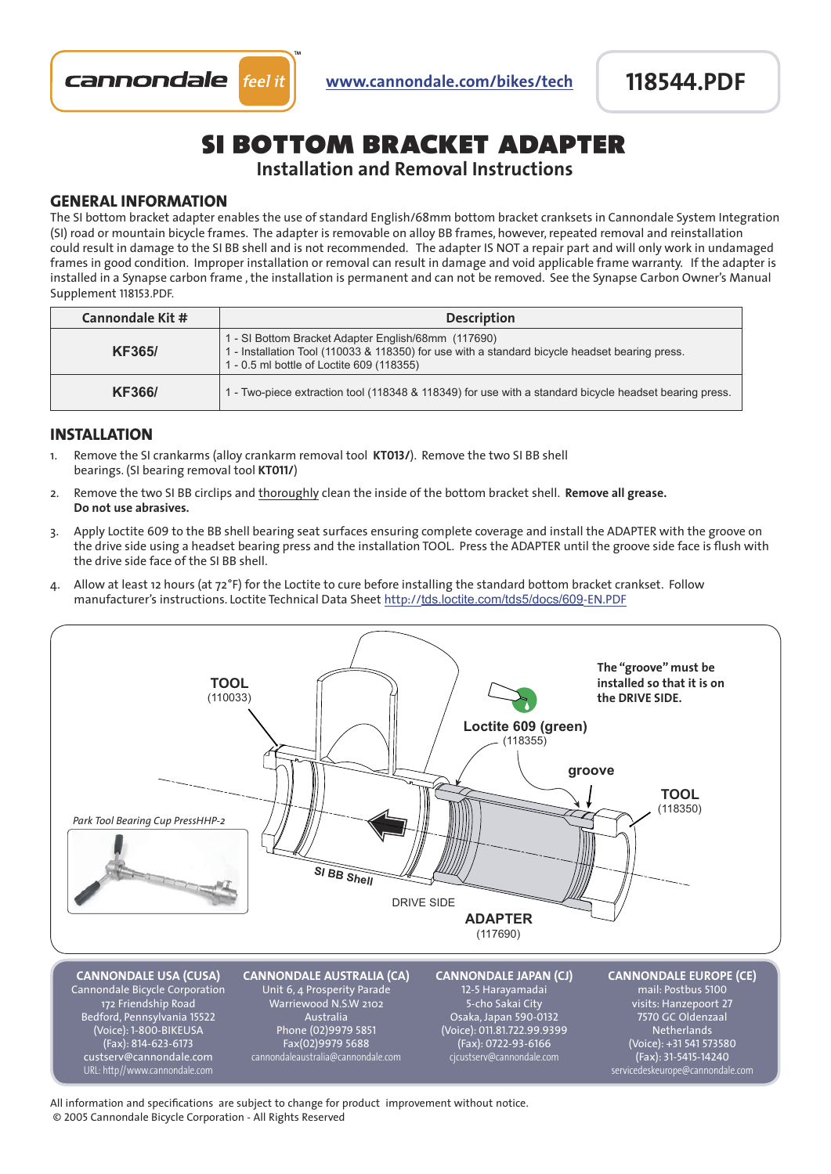

# si bottom bracket adapter

## **Installation and Removal Instructions**

#### **GENERAL INFORMATION**

The SI bottom bracket adapter enables the use of standard English/68mm bottom bracket cranksets in Cannondale System Integration (SI) road or mountain bicycle frames. The adapter is removable on alloy BB frames, however, repeated removal and reinstallation could result in damage to the SI BB shell and is not recommended. The adapter IS NOT a repair part and will only work in undamaged frames in good condition. Improper installation or removal can result in damage and void applicable frame warranty. If the adapter is installed in a Synapse carbon frame , the installation is permanent and can not be removed. See the Synapse Carbon Owner's Manual Supplement 118153.PDF.

| Cannondale Kit # | <b>Description</b>                                                                                                                                                                                 |
|------------------|----------------------------------------------------------------------------------------------------------------------------------------------------------------------------------------------------|
| <b>KF365/</b>    | 1 - SI Bottom Bracket Adapter English/68mm (117690)<br>1 - Installation Tool (110033 & 118350) for use with a standard bicycle headset bearing press.<br>1 - 0.5 ml bottle of Loctite 609 (118355) |
| <b>KF366/</b>    | 1 - Two-piece extraction tool (118348 & 118349) for use with a standard bicycle headset bearing press.                                                                                             |

#### **INSTALLATION**

- 1. Remove the SI crankarms (alloy crankarm removal tool **KT013/**). Remove the two SI BB shell bearings. (SI bearing removal tool **KT011/**)
- 2. Remove the two SI BB circlips and thoroughly clean the inside of the bottom bracket shell. **Remove all grease. Do not use abrasives.**
- 3. Apply Loctite 609 to the BB shell bearing seat surfaces ensuring complete coverage and install the ADAPTER with the groove on the drive side using a headset bearing press and the installation TOOL. Press the ADAPTER until the groove side face is flush with the drive side face of the SI BB shell.
- 4. Allow at least 12 hours (at 72°F) for the Loctite to cure before installing the standard bottom bracket crankset. Follow manufacturer's instructions. Loctite Technical Data Sheet http://tds.loctite.com/tds5/docs/609-EN.PDF



All information and specifications are subject to change for product improvement without notice. © 2005 Cannondale Bicycle Corporation - All Rights Reserved **TOOL**